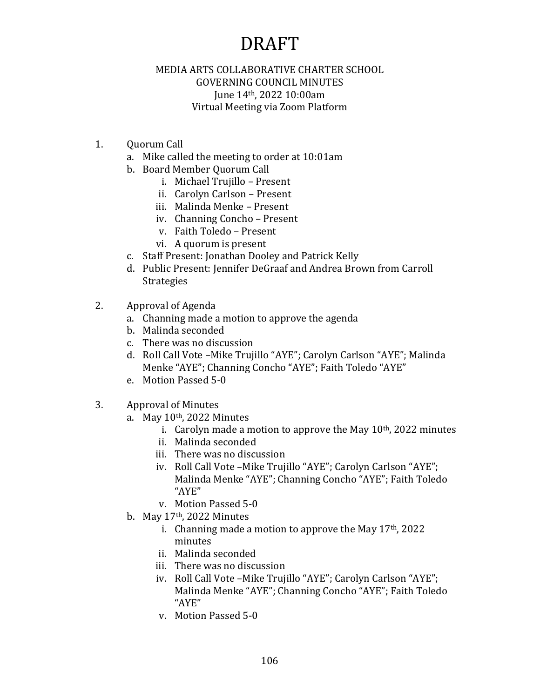#### MEDIA ARTS COLLABORATIVE CHARTER SCHOOL GOVERNING COUNCIL MINUTES June 14th, 2022 10:00am Virtual Meeting via Zoom Platform

- 1. Quorum Call
	- a. Mike called the meeting to order at 10:01am
	- b. Board Member Quorum Call
		- i. Michael Trujillo Present
		- ii. Carolyn Carlson Present
		- iii. Malinda Menke Present
		- iv. Channing Concho Present
		- v. Faith Toledo Present
		- vi. A quorum is present
	- c. Staff Present: Jonathan Dooley and Patrick Kelly
	- d. Public Present: Jennifer DeGraaf and Andrea Brown from Carroll Strategies
- 2. Approval of Agenda
	- a. Channing made a motion to approve the agenda
	- b. Malinda seconded
	- c. There was no discussion
	- d. Roll Call Vote –Mike Trujillo "AYE"; Carolyn Carlson "AYE"; Malinda Menke "AYE"; Channing Concho "AYE"; Faith Toledo "AYE"
	- e. Motion Passed 5-0
- 3. Approval of Minutes
	- a. May  $10<sup>th</sup>$ , 2022 Minutes
		- i. Carolyn made a motion to approve the May  $10<sup>th</sup>$ , 2022 minutes
		- ii. Malinda seconded
		- iii. There was no discussion
		- iv. Roll Call Vote –Mike Trujillo "AYE"; Carolyn Carlson "AYE"; Malinda Menke "AYE"; Channing Concho "AYE"; Faith Toledo "AYE"
		- v. Motion Passed 5-0
	- b. May  $17<sup>th</sup>$ , 2022 Minutes
		- i. Channing made a motion to approve the May  $17<sup>th</sup>$ , 2022 minutes
		- ii. Malinda seconded
		- iii. There was no discussion
		- iv. Roll Call Vote –Mike Trujillo "AYE"; Carolyn Carlson "AYE"; Malinda Menke "AYE"; Channing Concho "AYE"; Faith Toledo "AYE"
		- v. Motion Passed 5-0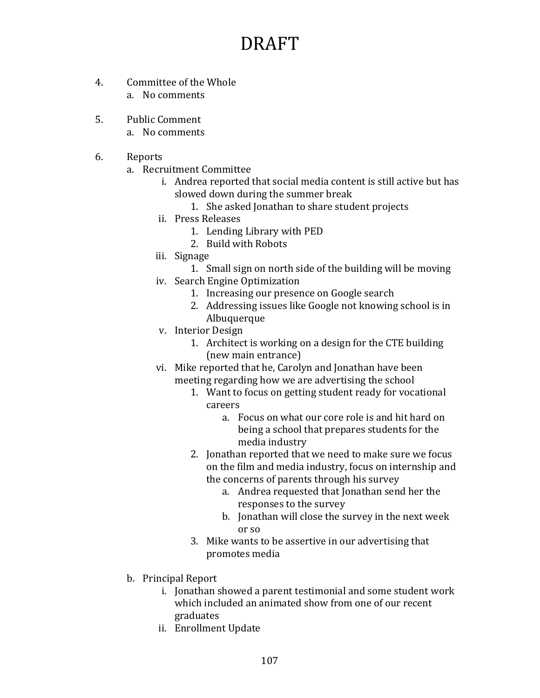- 4. Committee of the Whole a. No comments
- 5. Public Comment a. No comments
- 6. Reports
	- a. Recruitment Committee
		- i. Andrea reported that social media content is still active but has slowed down during the summer break
			- 1. She asked Jonathan to share student projects
		- ii. Press Releases
			- 1. Lending Library with PED
			- 2. Build with Robots
		- iii. Signage
			- 1. Small sign on north side of the building will be moving
		- iv. Search Engine Optimization
			- 1. Increasing our presence on Google search
			- 2. Addressing issues like Google not knowing school is in Albuquerque
		- v. Interior Design
			- 1. Architect is working on a design for the CTE building (new main entrance)
		- vi. Mike reported that he, Carolyn and Jonathan have been meeting regarding how we are advertising the school
			- 1. Want to focus on getting student ready for vocational careers
				- a. Focus on what our core role is and hit hard on being a school that prepares students for the media industry
			- 2. Jonathan reported that we need to make sure we focus on the film and media industry, focus on internship and the concerns of parents through his survey
				- a. Andrea requested that Jonathan send her the responses to the survey
				- b. Jonathan will close the survey in the next week or so
			- 3. Mike wants to be assertive in our advertising that promotes media
	- b. Principal Report
		- i. Jonathan showed a parent testimonial and some student work which included an animated show from one of our recent graduates
		- ii. Enrollment Update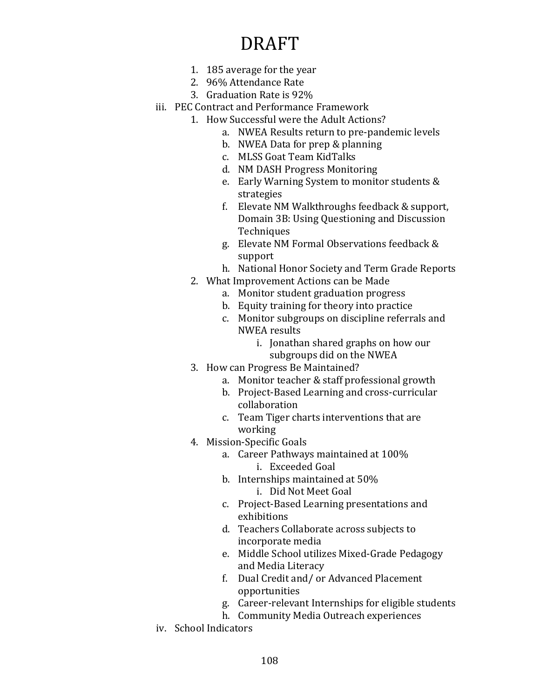- 1. 185 average for the year
- 2. 96% Attendance Rate
- 3. Graduation Rate is 92%
- iii. PEC Contract and Performance Framework
	- 1. How Successful were the Adult Actions?
		- a. NWEA Results return to pre-pandemic levels
		- b. NWEA Data for prep & planning
		- c. MLSS Goat Team KidTalks
		- d. NM DASH Progress Monitoring
		- e. Early Warning System to monitor students & strategies
		- f. Elevate NM Walkthroughs feedback & support, Domain 3B: Using Questioning and Discussion **Techniques**
		- g. Elevate NM Formal Observations feedback & support
		- h. National Honor Society and Term Grade Reports
	- 2. What Improvement Actions can be Made
		- a. Monitor student graduation progress
		- b. Equity training for theory into practice
		- c. Monitor subgroups on discipline referrals and NWEA results
			- i. Jonathan shared graphs on how our subgroups did on the NWEA
	- 3. How can Progress Be Maintained?
		- a. Monitor teacher & staff professional growth
		- b. Project-Based Learning and cross-curricular collaboration
		- c. Team Tiger charts interventions that are working
	- 4. Mission-Specific Goals
		- a. Career Pathways maintained at 100% i. Exceeded Goal
		- b. Internships maintained at 50% i. Did Not Meet Goal
		- c. Project-Based Learning presentations and exhibitions
		- d. Teachers Collaborate across subjects to incorporate media
		- e. Middle School utilizes Mixed-Grade Pedagogy and Media Literacy
		- f. Dual Credit and/ or Advanced Placement opportunities
		- g. Career-relevant Internships for eligible students
		- h. Community Media Outreach experiences
- iv. School Indicators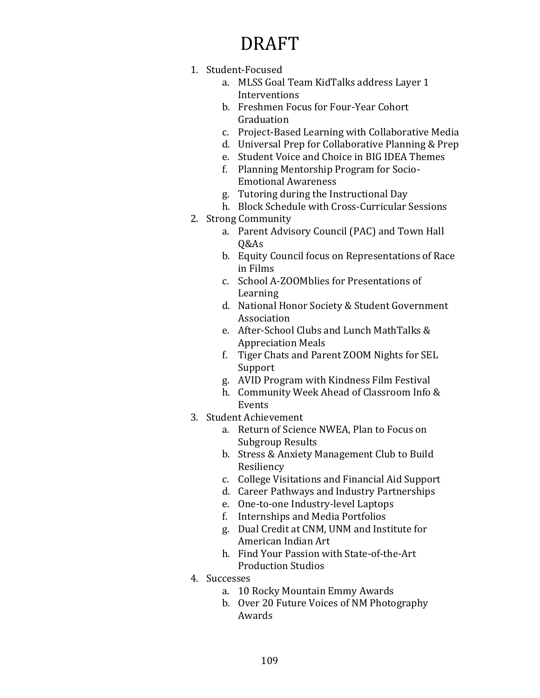- 1. Student-Focused
	- a. MLSS Goal Team KidTalks address Layer 1 Interventions
	- b. Freshmen Focus for Four-Year Cohort Graduation
	- c. Project-Based Learning with Collaborative Media
	- d. Universal Prep for Collaborative Planning & Prep
	- e. Student Voice and Choice in BIG IDEA Themes
	- f. Planning Mentorship Program for Socio-Emotional Awareness
	- g. Tutoring during the Instructional Day
	- h. Block Schedule with Cross-Curricular Sessions
- 2. Strong Community
	- a. Parent Advisory Council (PAC) and Town Hall Q&As
	- b. Equity Council focus on Representations of Race in Films
	- c. School A-ZOOMblies for Presentations of Learning
	- d. National Honor Society & Student Government Association
	- e. After-School Clubs and Lunch MathTalks & Appreciation Meals
	- f. Tiger Chats and Parent ZOOM Nights for SEL Support
	- g. AVID Program with Kindness Film Festival
	- h. Community Week Ahead of Classroom Info & Events
- 3. Student Achievement
	- a. Return of Science NWEA, Plan to Focus on Subgroup Results
	- b. Stress & Anxiety Management Club to Build Resiliency
	- c. College Visitations and Financial Aid Support
	- d. Career Pathways and Industry Partnerships
	- e. One-to-one Industry-level Laptops
	- f. Internships and Media Portfolios
	- g. Dual Credit at CNM, UNM and Institute for American Indian Art
	- h. Find Your Passion with State-of-the-Art Production Studios
- 4. Successes
	- a. 10 Rocky Mountain Emmy Awards
	- b. Over 20 Future Voices of NM Photography Awards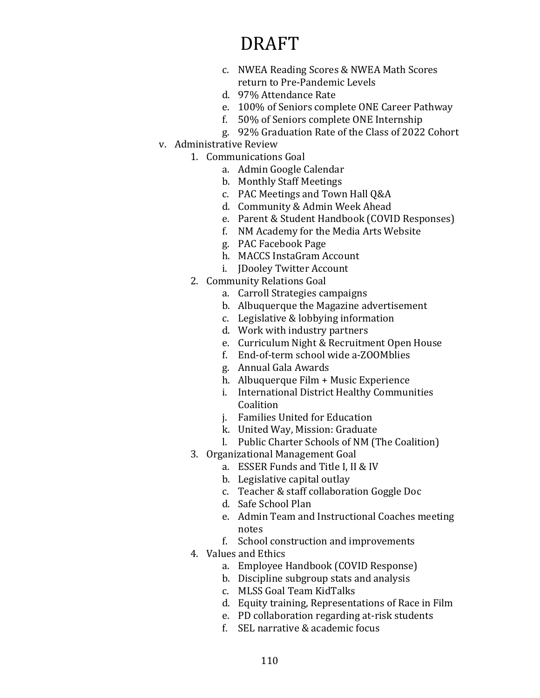- c. NWEA Reading Scores & NWEA Math Scores return to Pre-Pandemic Levels
- d. 97% Attendance Rate
- e. 100% of Seniors complete ONE Career Pathway
- f. 50% of Seniors complete ONE Internship
- g. 92% Graduation Rate of the Class of 2022 Cohort
- v. Administrative Review
	- 1. Communications Goal
		- a. Admin Google Calendar
		- b. Monthly Staff Meetings
		- c. PAC Meetings and Town Hall Q&A
		- d. Community & Admin Week Ahead
		- e. Parent & Student Handbook (COVID Responses)
		- f. NM Academy for the Media Arts Website
		- g. PAC Facebook Page
		- h. MACCS InstaGram Account
		- i. JDooley Twitter Account
	- 2. Community Relations Goal
		- a. Carroll Strategies campaigns
		- b. Albuquerque the Magazine advertisement
		- c. Legislative & lobbying information
		- d. Work with industry partners
		- e. Curriculum Night & Recruitment Open House
		- f. End-of-term school wide a-ZOOMblies
		- g. Annual Gala Awards
		- h. Albuquerque Film + Music Experience
		- i. International District Healthy Communities Coalition
		- j. Families United for Education
		- k. United Way, Mission: Graduate
		- l. Public Charter Schools of NM (The Coalition)
	- 3. Organizational Management Goal
		- a. ESSER Funds and Title I, II & IV
		- b. Legislative capital outlay
		- c. Teacher & staff collaboration Goggle Doc
		- d. Safe School Plan
		- e. Admin Team and Instructional Coaches meeting notes
		- f. School construction and improvements
	- 4. Values and Ethics
		- a. Employee Handbook (COVID Response)
		- b. Discipline subgroup stats and analysis
		- c. MLSS Goal Team KidTalks
		- d. Equity training, Representations of Race in Film
		- e. PD collaboration regarding at-risk students
		- f. SEL narrative & academic focus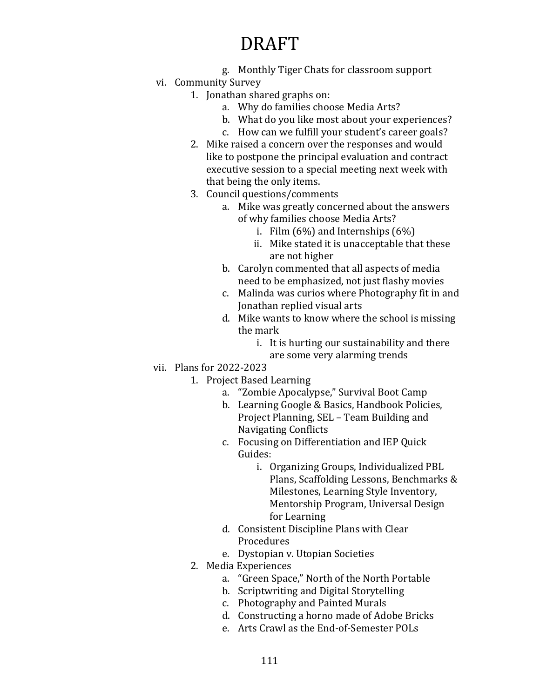- g. Monthly Tiger Chats for classroom support
- vi. Community Survey
	- 1. Jonathan shared graphs on:
		- a. Why do families choose Media Arts?
		- b. What do you like most about your experiences?
		- c. How can we fulfill your student's career goals?
	- 2. Mike raised a concern over the responses and would like to postpone the principal evaluation and contract executive session to a special meeting next week with that being the only items.
	- 3. Council questions/comments
		- a. Mike was greatly concerned about the answers of why families choose Media Arts?
			- i. Film  $(6\%)$  and Internships  $(6\%)$
			- ii. Mike stated it is unacceptable that these are not higher
		- b. Carolyn commented that all aspects of media need to be emphasized, not just flashy movies
		- c. Malinda was curios where Photography fit in and Jonathan replied visual arts
		- d. Mike wants to know where the school is missing the mark
			- i. It is hurting our sustainability and there are some very alarming trends
- vii. Plans for 2022-2023
	- 1. Project Based Learning
		- a. "Zombie Apocalypse," Survival Boot Camp
		- b. Learning Google & Basics, Handbook Policies, Project Planning, SEL – Team Building and Navigating Conflicts
		- c. Focusing on Differentiation and IEP Quick Guides:
			- i. Organizing Groups, Individualized PBL Plans, Scaffolding Lessons, Benchmarks & Milestones, Learning Style Inventory, Mentorship Program, Universal Design for Learning
		- d. Consistent Discipline Plans with Clear Procedures
		- e. Dystopian v. Utopian Societies
	- 2. Media Experiences
		- a. "Green Space," North of the North Portable
		- b. Scriptwriting and Digital Storytelling
		- c. Photography and Painted Murals
		- d. Constructing a horno made of Adobe Bricks
		- e. Arts Crawl as the End-of-Semester POLs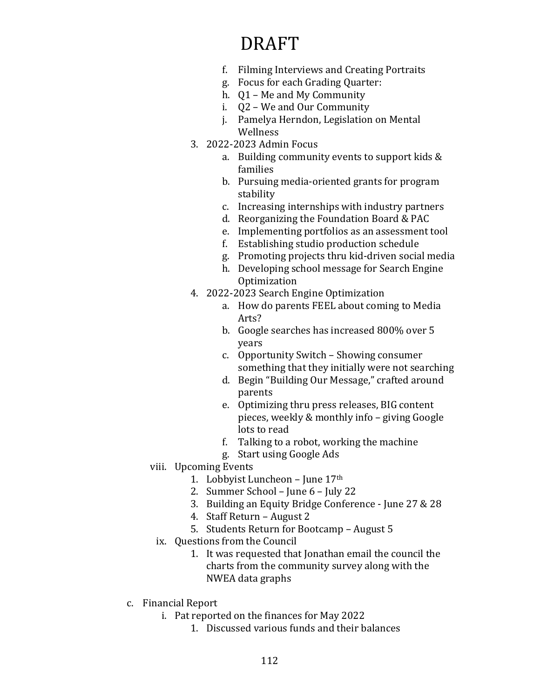- f. Filming Interviews and Creating Portraits
- g. Focus for each Grading Quarter:
- h. Q1 Me and My Community
- i. Q2 We and Our Community
- j. Pamelya Herndon, Legislation on Mental Wellness
- 3. 2022-2023 Admin Focus
	- a. Building community events to support kids & families
	- b. Pursuing media-oriented grants for program stability
	- c. Increasing internships with industry partners
	- d. Reorganizing the Foundation Board & PAC
	- e. Implementing portfolios as an assessment tool
	- f. Establishing studio production schedule
	- g. Promoting projects thru kid-driven social media
	- h. Developing school message for Search Engine **Optimization**
- 4. 2022-2023 Search Engine Optimization
	- a. How do parents FEEL about coming to Media Arts?
	- b. Google searches has increased 800% over 5 years
	- c. Opportunity Switch Showing consumer something that they initially were not searching
	- d. Begin "Building Our Message," crafted around parents
	- e. Optimizing thru press releases, BIG content pieces, weekly & monthly info – giving Google lots to read
	- f. Talking to a robot, working the machine
	- g. Start using Google Ads
- viii. Upcoming Events
	- 1. Lobbyist Luncheon June 17th
	- 2. Summer School June 6 July 22
	- 3. Building an Equity Bridge Conference June 27 & 28
	- 4. Staff Return August 2
	- 5. Students Return for Bootcamp August 5
	- ix. Questions from the Council
		- 1. It was requested that Jonathan email the council the charts from the community survey along with the NWEA data graphs
- c. Financial Report
	- i. Pat reported on the finances for May 2022
		- 1. Discussed various funds and their balances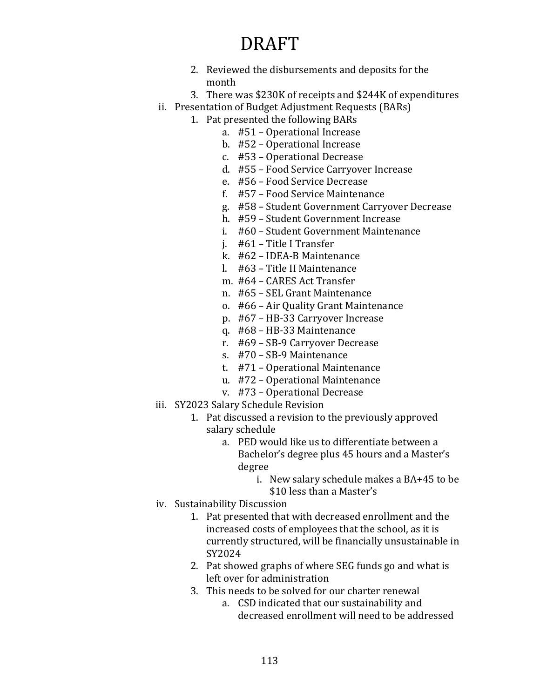- 2. Reviewed the disbursements and deposits for the month
- 3. There was \$230K of receipts and \$244K of expenditures
- ii. Presentation of Budget Adjustment Requests (BARs)
	- 1. Pat presented the following BARs
		- a. #51 Operational Increase
			- b. #52 Operational Increase
			- c. #53 Operational Decrease
			- d. #55 Food Service Carryover Increase
			- e. #56 Food Service Decrease
			- f. #57 Food Service Maintenance
			- g. #58 Student Government Carryover Decrease
			- h. #59 Student Government Increase
			- i. #60 Student Government Maintenance
			- j. #61 Title I Transfer
			- k. #62 IDEA-B Maintenance
			- l. #63 Title II Maintenance
			- m. #64 CARES Act Transfer
			- n. #65 SEL Grant Maintenance
			- o. #66 Air Quality Grant Maintenance
			- p. #67 HB-33 Carryover Increase
			- q. #68 HB-33 Maintenance
			- r. #69 SB-9 Carryover Decrease
			- s. #70 SB-9 Maintenance
			- t. #71 Operational Maintenance
			- u. #72 Operational Maintenance
		- v. #73 Operational Decrease
- iii. SY2023 Salary Schedule Revision
	- 1. Pat discussed a revision to the previously approved salary schedule
		- a. PED would like us to differentiate between a Bachelor's degree plus 45 hours and a Master's degree
			- i. New salary schedule makes a BA+45 to be \$10 less than a Master's
- iv. Sustainability Discussion
	- 1. Pat presented that with decreased enrollment and the increased costs of employees that the school, as it is currently structured, will be financially unsustainable in SY2024
	- 2. Pat showed graphs of where SEG funds go and what is left over for administration
	- 3. This needs to be solved for our charter renewal
		- a. CSD indicated that our sustainability and decreased enrollment will need to be addressed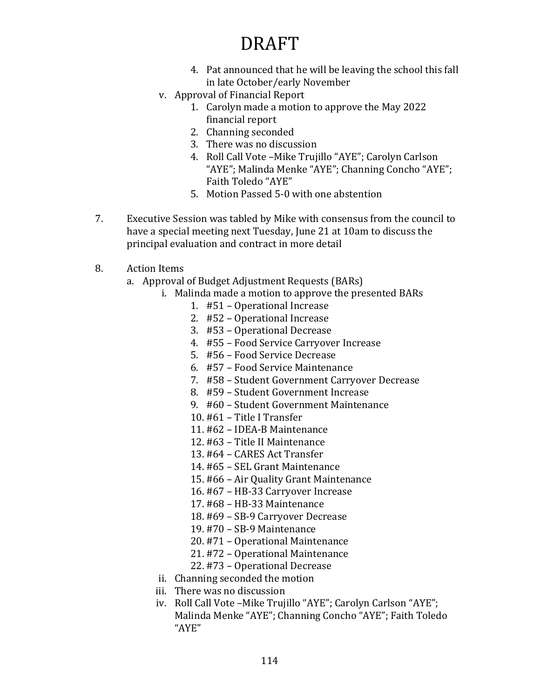- 4. Pat announced that he will be leaving the school this fall in late October/early November
- v. Approval of Financial Report
	- 1. Carolyn made a motion to approve the May 2022 financial report
	- 2. Channing seconded
	- 3. There was no discussion
	- 4. Roll Call Vote –Mike Trujillo "AYE"; Carolyn Carlson "AYE"; Malinda Menke "AYE"; Channing Concho "AYE"; Faith Toledo "AYE"
	- 5. Motion Passed 5-0 with one abstention
- 7. Executive Session was tabled by Mike with consensus from the council to have a special meeting next Tuesday, June 21 at 10am to discuss the principal evaluation and contract in more detail
- 8. Action Items
	- a. Approval of Budget Adjustment Requests (BARs)
		- i. Malinda made a motion to approve the presented BARs
			- 1. #51 Operational Increase
			- 2. #52 Operational Increase
			- 3. #53 Operational Decrease
			- 4. #55 Food Service Carryover Increase
			- 5. #56 Food Service Decrease
			- 6. #57 Food Service Maintenance
			- 7. #58 Student Government Carryover Decrease
			- 8. #59 Student Government Increase
			- 9. #60 Student Government Maintenance
			- 10. #61 Title I Transfer
			- 11. #62 IDEA-B Maintenance
			- 12. #63 Title II Maintenance
			- 13. #64 CARES Act Transfer
			- 14. #65 SEL Grant Maintenance
			- 15. #66 Air Quality Grant Maintenance
			- 16. #67 HB-33 Carryover Increase
			- 17. #68 HB-33 Maintenance
			- 18. #69 SB-9 Carryover Decrease
			- 19. #70 SB-9 Maintenance
			- 20. #71 Operational Maintenance
			- 21. #72 Operational Maintenance
			- 22. #73 Operational Decrease
		- ii. Channing seconded the motion
		- iii. There was no discussion
		- iv. Roll Call Vote –Mike Trujillo "AYE"; Carolyn Carlson "AYE"; Malinda Menke "AYE"; Channing Concho "AYE"; Faith Toledo "AYE"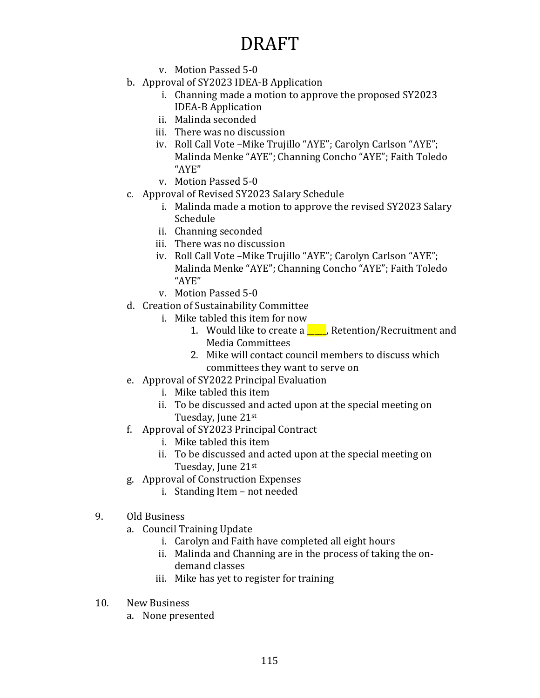- v. Motion Passed 5-0
- b. Approval of SY2023 IDEA-B Application
	- i. Channing made a motion to approve the proposed SY2023 IDEA-B Application
	- ii. Malinda seconded
	- iii. There was no discussion
	- iv. Roll Call Vote –Mike Trujillo "AYE"; Carolyn Carlson "AYE"; Malinda Menke "AYE"; Channing Concho "AYE"; Faith Toledo "AYE"
	- v. Motion Passed 5-0
- c. Approval of Revised SY2023 Salary Schedule
	- i. Malinda made a motion to approve the revised SY2023 Salary Schedule
	- ii. Channing seconded
	- iii. There was no discussion
	- iv. Roll Call Vote –Mike Trujillo "AYE"; Carolyn Carlson "AYE"; Malinda Menke "AYE"; Channing Concho "AYE"; Faith Toledo "AYE"
	- v. Motion Passed 5-0
- d. Creation of Sustainability Committee
	- i. Mike tabled this item for now
		- 1. Would like to create a  $\Box$ , Retention/Recruitment and Media Committees
		- 2. Mike will contact council members to discuss which committees they want to serve on
- e. Approval of SY2022 Principal Evaluation
	- i. Mike tabled this item
	- ii. To be discussed and acted upon at the special meeting on Tuesday, June 21st
- f. Approval of SY2023 Principal Contract
	- i. Mike tabled this item
	- ii. To be discussed and acted upon at the special meeting on Tuesday, June 21st
- g. Approval of Construction Expenses
	- i. Standing Item not needed
- 9. Old Business
	- a. Council Training Update
		- i. Carolyn and Faith have completed all eight hours
		- ii. Malinda and Channing are in the process of taking the ondemand classes
		- iii. Mike has yet to register for training
- 10. New Business
	- a. None presented